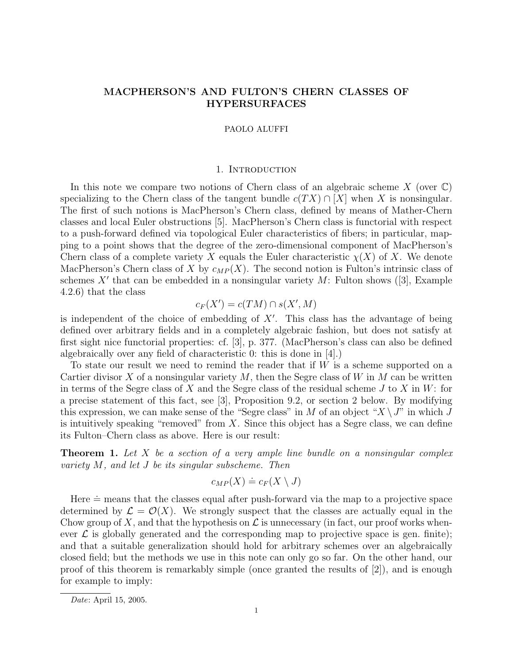# MACPHERSON'S AND FULTON'S CHERN CLASSES OF HYPERSURFACES

### PAOLO ALUFFI

#### 1. Introduction

In this note we compare two notions of Chern class of an algebraic scheme  $X$  (over  $\mathbb{C}$ ) specializing to the Chern class of the tangent bundle  $c(T X) \cap [X]$  when X is nonsingular. The first of such notions is MacPherson's Chern class, defined by means of Mather-Chern classes and local Euler obstructions [5]. MacPherson's Chern class is functorial with respect to a push-forward defined via topological Euler characteristics of fibers; in particular, mapping to a point shows that the degree of the zero-dimensional component of MacPherson's Chern class of a complete variety X equals the Euler characteristic  $\chi(X)$  of X. We denote MacPherson's Chern class of X by  $c_{MP}(X)$ . The second notion is Fulton's intrinsic class of schemes  $X'$  that can be embedded in a nonsingular variety  $M$ : Fulton shows ([3], Example 4.2.6) that the class

$$
c_F(X') = c(TM) \cap s(X',M)
$$

is independent of the choice of embedding of  $X'$ . This class has the advantage of being defined over arbitrary fields and in a completely algebraic fashion, but does not satisfy at first sight nice functorial properties: cf. [3], p. 377. (MacPherson's class can also be defined algebraically over any field of characteristic 0: this is done in [4].)

To state our result we need to remind the reader that if  $W$  is a scheme supported on a Cartier divisor X of a nonsingular variety  $M$ , then the Segre class of W in M can be written in terms of the Segre class of X and the Segre class of the residual scheme J to X in W: for a precise statement of this fact, see [3], Proposition 9.2, or section 2 below. By modifying this expression, we can make sense of the "Segre class" in M of an object " $X \setminus J$ " in which J is intuitively speaking "removed" from  $X$ . Since this object has a Segre class, we can define its Fulton–Chern class as above. Here is our result:

**Theorem 1.** Let  $X$  be a section of a very ample line bundle on a nonsingular complex variety M, and let J be its singular subscheme. Then

$$
c_{MP}(X) \doteq c_F(X \setminus J)
$$

Here  $\dot{=}$  means that the classes equal after push-forward via the map to a projective space determined by  $\mathcal{L} = \mathcal{O}(X)$ . We strongly suspect that the classes are actually equal in the Chow group of X, and that the hypothesis on  $\mathcal L$  is unnecessary (in fact, our proof works whenever  $\mathcal L$  is globally generated and the corresponding map to projective space is gen. finite); and that a suitable generalization should hold for arbitrary schemes over an algebraically closed field; but the methods we use in this note can only go so far. On the other hand, our proof of this theorem is remarkably simple (once granted the results of [2]), and is enough for example to imply:

Date: April 15, 2005.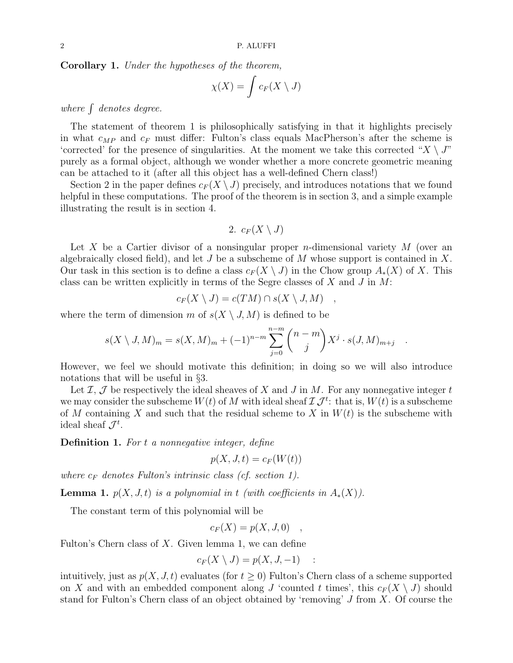Corollary 1. Under the hypotheses of the theorem,

$$
\chi(X) = \int c_F(X \setminus J)
$$

where  $\int$  denotes degree.

The statement of theorem 1 is philosophically satisfying in that it highlights precisely in what  $c_{MP}$  and  $c_F$  must differ: Fulton's class equals MacPherson's after the scheme is 'corrected' for the presence of singularities. At the moment we take this corrected " $X \setminus J$ " purely as a formal object, although we wonder whether a more concrete geometric meaning can be attached to it (after all this object has a well-defined Chern class!)

Section 2 in the paper defines  $c_F(X \setminus J)$  precisely, and introduces notations that we found helpful in these computations. The proof of the theorem is in section 3, and a simple example illustrating the result is in section 4.

2. 
$$
c_F(X \setminus J)
$$

Let X be a Cartier divisor of a nonsingular proper *n*-dimensional variety  $M$  (over an algebraically closed field), and let J be a subscheme of M whose support is contained in X. Our task in this section is to define a class  $c_F(X \setminus J)$  in the Chow group  $A_*(X)$  of X. This class can be written explicitly in terms of the Segre classes of  $X$  and  $J$  in  $M$ :

$$
c_F(X \setminus J) = c(TM) \cap s(X \setminus J, M) \quad ,
$$

where the term of dimension m of  $s(X \setminus J, M)$  is defined to be

$$
s(X \setminus J, M)_m = s(X, M)_m + (-1)^{n-m} \sum_{j=0}^{n-m} {n-m \choose j} X^j \cdot s(J, M)_{m+j}
$$

.

However, we feel we should motivate this definition; in doing so we will also introduce notations that will be useful in §3.

Let  $\mathcal{I}, \mathcal{J}$  be respectively the ideal sheaves of X and J in M. For any nonnegative integer t we may consider the subscheme  $W(t)$  of M with ideal sheaf  $\mathcal{I} \mathcal{J}^t$ : that is,  $W(t)$  is a subscheme of M containing X and such that the residual scheme to X in  $W(t)$  is the subscheme with ideal sheaf  $\mathcal{J}^t$ .

Definition 1. For t a nonnegative integer, define

$$
p(X, J, t) = c_F(W(t))
$$

where  $c_F$  denotes Fulton's intrinsic class (cf. section 1).

**Lemma 1.**  $p(X, J, t)$  is a polynomial in t (with coefficients in  $A_*(X)$ ).

The constant term of this polynomial will be

$$
c_F(X) = p(X, J, 0) ,
$$

Fulton's Chern class of  $X$ . Given lemma 1, we can define

$$
c_F(X \setminus J) = p(X, J, -1) \quad :
$$

intuitively, just as  $p(X, J, t)$  evaluates (for  $t \geq 0$ ) Fulton's Chern class of a scheme supported on X and with an embedded component along J 'counted t times', this  $c_F(X \setminus J)$  should stand for Fulton's Chern class of an object obtained by 'removing' J from X. Of course the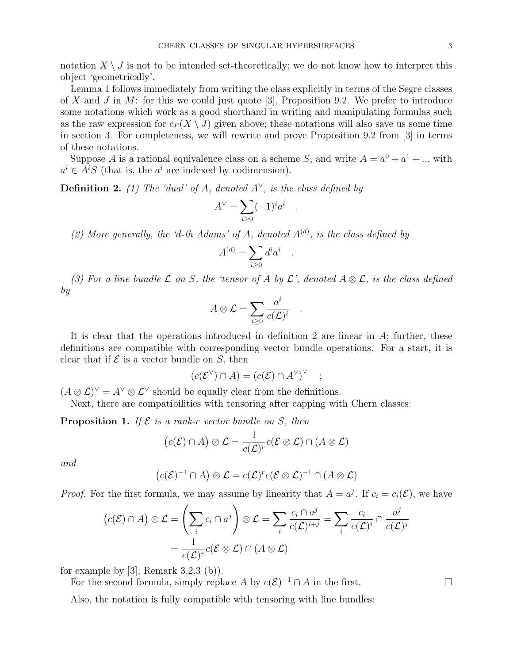notation  $X \setminus J$  is not to be intended set-theoretically; we do not know how to interpret this object 'geometrically'.

Lemma 1 follows immediately from writing the class explicitly in terms of the Segre classes of X and J in M: for this we could just quote [3], Proposition 9.2. We prefer to introduce some notations which work as a good shorthand in writing and manipulating formulas such as the raw expression for  $c_F(X \setminus J)$  given above; these notations will also save us some time in section 3. For completeness, we will rewrite and prove Proposition 9.2 from [3] in terms of these notations.

Suppose A is a rational equivalence class on a scheme S, and write  $A = a^0 + a^1 + ...$  with  $a^i \in A^iS$  (that is, the  $a^i$  are indexed by codimension).

**Definition 2.** (1) The 'dual' of A, denoted  $A^{\vee}$ , is the class defined by

$$
A^{\vee} = \sum_{i \ge 0} (-1)^i a^i .
$$

(2) More generally, the 'd-th Adams' of A, denoted  $A^{(d)}$ , is the class defined by

$$
A^{(d)} = \sum_{i \ge 0} d^i a^i
$$

.

.

(3) For a line bundle  $\mathcal L$  on S, the 'tensor of A by  $\mathcal L$ ', denoted  $A \otimes \mathcal L$ , is the class defined by

$$
A\otimes\mathcal{L}=\sum_{i\geq 0}\frac{a^i}{c(\mathcal{L})^i}
$$

It is clear that the operations introduced in definition 2 are linear in A; further, these definitions are compatible with corresponding vector bundle operations. For a start, it is clear that if  $\mathcal E$  is a vector bundle on  $S$ , then

$$
(c(\mathcal{E}^{\vee}) \cap A) = (c(\mathcal{E}) \cap A^{\vee})^{\vee} \quad ;
$$

 $(A \otimes \mathcal{L})^{\vee} = A^{\vee} \otimes \mathcal{L}^{\vee}$  should be equally clear from the definitions.

Next, there are compatibilities with tensoring after capping with Chern classes:

**Proposition 1.** If  $\mathcal{E}$  is a rank-r vector bundle on  $S$ , then

$$
(c(\mathcal{E}) \cap A) \otimes \mathcal{L} = \frac{1}{c(\mathcal{L})^r} c(\mathcal{E} \otimes \mathcal{L}) \cap (A \otimes \mathcal{L})
$$

and

$$
(c(\mathcal{E})^{-1} \cap A) \otimes \mathcal{L} = c(\mathcal{L})^r c(\mathcal{E} \otimes \mathcal{L})^{-1} \cap (A \otimes \mathcal{L})
$$

*Proof.* For the first formula, we may assume by linearity that  $A = a^{j}$ . If  $c_{i} = c_{i}(\mathcal{E})$ , we have

$$
(c(\mathcal{E}) \cap A) \otimes \mathcal{L} = \left(\sum_{i} c_{i} \cap a^{j}\right) \otimes \mathcal{L} = \sum_{i} \frac{c_{i} \cap a^{j}}{c(\mathcal{L})^{i+j}} = \sum_{i} \frac{c_{i}}{c(\mathcal{L})^{i}} \cap \frac{a^{j}}{c(\mathcal{L})^{j}}
$$

$$
= \frac{1}{c(\mathcal{L})^{r}} c(\mathcal{E} \otimes \mathcal{L}) \cap (A \otimes \mathcal{L})
$$

for example by  $[3]$ , Remark 3.2.3 (b)).

For the second formula, simply replace A by  $c(\mathcal{E})^{-1} \cap A$  in the first.

Also, the notation is fully compatible with tensoring with line bundles: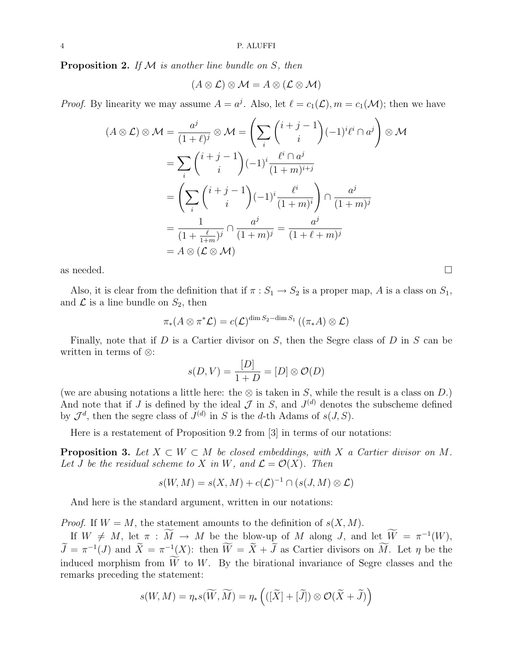**Proposition 2.** If  $M$  is another line bundle on  $S$ , then

$$
(A \otimes \mathcal{L}) \otimes \mathcal{M} = A \otimes (\mathcal{L} \otimes \mathcal{M})
$$

*Proof.* By linearity we may assume  $A = a^{j}$ . Also, let  $\ell = c_1(\mathcal{L}), m = c_1(\mathcal{M})$ ; then we have

$$
(A \otimes \mathcal{L}) \otimes \mathcal{M} = \frac{a^j}{(1+\ell)^j} \otimes \mathcal{M} = \left(\sum_i \binom{i+j-1}{i} (-1)^i \ell^i \cap a^j \right) \otimes \mathcal{M}
$$

$$
= \sum_i \binom{i+j-1}{i} (-1)^i \frac{\ell^i \cap a^j}{(1+m)^{i+j}}
$$

$$
= \left(\sum_i \binom{i+j-1}{i} (-1)^i \frac{\ell^i}{(1+m)^i}\right) \cap \frac{a^j}{(1+m)^j}
$$

$$
= \frac{1}{(1+\frac{\ell}{1+m})^j} \cap \frac{a^j}{(1+m)^j} = \frac{a^j}{(1+\ell+m)^j}
$$

$$
= A \otimes (\mathcal{L} \otimes \mathcal{M})
$$

as needed.  $\Box$ 

Also, it is clear from the definition that if  $\pi : S_1 \to S_2$  is a proper map, A is a class on  $S_1$ , and  $\mathcal L$  is a line bundle on  $S_2$ , then

$$
\pi_*(A\otimes \pi^*\mathcal{L})=c(\mathcal{L})^{\dim S_2-\dim S_1}\left((\pi_*A)\otimes \mathcal{L}\right)
$$

Finally, note that if  $D$  is a Cartier divisor on  $S$ , then the Segre class of  $D$  in  $S$  can be written in terms of ⊗:

$$
s(D, V) = \frac{[D]}{1+D} = [D] \otimes \mathcal{O}(D)
$$

(we are abusing notations a little here: the ⊗ is taken in S, while the result is a class on D.) And note that if J is defined by the ideal  $\mathcal J$  in S, and  $J^{(d)}$  denotes the subscheme defined by  $\mathcal{J}^d$ , then the segre class of  $J^{(d)}$  in S is the d-th Adams of  $s(J, S)$ .

Here is a restatement of Proposition 9.2 from [3] in terms of our notations:

**Proposition 3.** Let  $X \subset W \subset M$  be closed embeddings, with X a Cartier divisor on M. Let J be the residual scheme to X in W, and  $\mathcal{L} = \mathcal{O}(X)$ . Then

$$
s(W, M) = s(X, M) + c(\mathcal{L})^{-1} \cap (s(J, M) \otimes \mathcal{L})
$$

And here is the standard argument, written in our notations:

*Proof.* If  $W = M$ , the statement amounts to the definition of  $s(X, M)$ .

If  $W \neq M$ , let  $\pi : \overline{M} \to M$  be the blow-up of M along J, and let  $\overline{W} = \pi^{-1}(W)$ ,  $\widetilde{J} = \pi^{-1}(J)$  and  $\widetilde{X} = \pi^{-1}(X)$ : then  $\widetilde{W} = \widetilde{X} + \widetilde{J}$  as Cartier divisors on  $\widetilde{M}$ . Let  $\eta$  be the induced morphism from  $\widetilde{W}$  to  $W$ . By the birational invariance of Segre classes and the remarks preceding the statement:

$$
s(W, M) = \eta_* s(\widetilde{W}, \widetilde{M}) = \eta_* \left( ([\widetilde{X}] + [\widetilde{J}]) \otimes \mathcal{O}(\widetilde{X} + \widetilde{J}) \right)
$$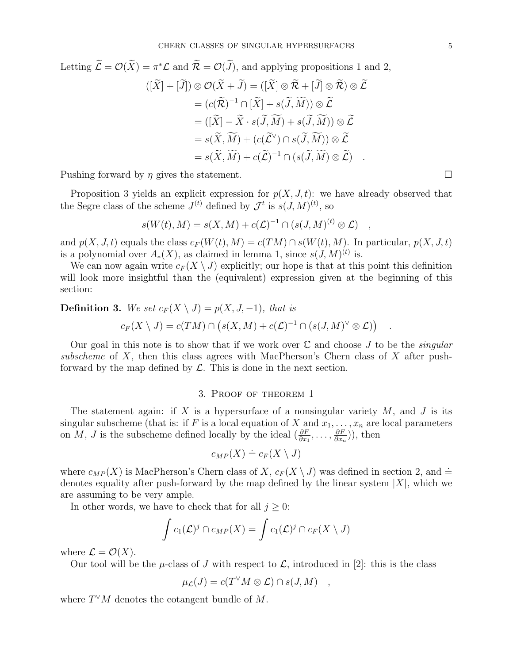Letting 
$$
\widetilde{\mathcal{L}} = \mathcal{O}(\widetilde{X}) = \pi^* \mathcal{L}
$$
 and  $\widetilde{\mathcal{R}} = \mathcal{O}(\widetilde{J})$ , and applying propositions 1 and 2,  
\n
$$
([\widetilde{X}] + [\widetilde{J}]) \otimes \mathcal{O}(\widetilde{X} + \widetilde{J}) = ([\widetilde{X}] \otimes \widetilde{\mathcal{R}} + [\widetilde{J}] \otimes \widetilde{\mathcal{R}}) \otimes \widetilde{\mathcal{L}}
$$
\n
$$
= (c(\widetilde{\mathcal{R}})^{-1} \cap [\widetilde{X}] + s(\widetilde{J}, \widetilde{M})) \otimes \widetilde{\mathcal{L}}
$$
\n
$$
= ([\widetilde{X}] - \widetilde{X} \cdot s(\widetilde{J}, \widetilde{M}) + s(\widetilde{J}, \widetilde{M})) \otimes \widetilde{\mathcal{L}}
$$
\n
$$
= s(\widetilde{X}, \widetilde{M}) + (c(\widetilde{\mathcal{L}}^{\vee}) \cap s(\widetilde{J}, \widetilde{M})) \otimes \widetilde{\mathcal{L}}
$$
\n
$$
= s(\widetilde{X}, \widetilde{M}) + c(\widetilde{\mathcal{L}})^{-1} \cap (s(\widetilde{J}, \widetilde{M}) \otimes \widetilde{\mathcal{L}})
$$

Pushing forward by  $\eta$  gives the statement.

Proposition 3 yields an explicit expression for  $p(X, J, t)$ : we have already observed that the Segre class of the scheme  $J^{(t)}$  defined by  $\mathcal{J}^t$  is  $s(J, M)^{(t)}$ , so

$$
s(W(t), M) = s(X, M) + c(\mathcal{L})^{-1} \cap (s(J, M)^{(t)} \otimes \mathcal{L}) \quad ,
$$

and  $p(X, J, t)$  equals the class  $c_F(W(t), M) = c(TM) \cap s(W(t), M)$ . In particular,  $p(X, J, t)$ is a polynomial over  $A_*(X)$ , as claimed in lemma 1, since  $s(J, M)^{(t)}$  is.

We can now again write  $c_F(X \setminus J)$  explicitly; our hope is that at this point this definition will look more insightful than the (equivalent) expression given at the beginning of this section:

**Definition 3.** We set  $c_F(X \setminus J) = p(X, J, -1)$ , that is  $c_F(X \setminus J) = c(TM) \cap (s(X, M) + c(\mathcal{L})^{-1} \cap (s(J, M)^{\vee} \otimes \mathcal{L}))$ 

Our goal in this note is to show that if we work over  $\mathbb C$  and choose J to be the *singular* subscheme of X, then this class agrees with MacPherson's Chern class of X after pushforward by the map defined by  $\mathcal{L}$ . This is done in the next section.

### 3. Proof of theorem 1

The statement again: if X is a hypersurface of a nonsingular variety  $M$ , and J is its singular subscheme (that is: if F is a local equation of X and  $x_1, \ldots, x_n$  are local parameters on M, J is the subscheme defined locally by the ideal  $(\frac{\partial F}{\partial x_1}, \ldots, \frac{\partial F}{\partial x_n})$  $\frac{\partial F}{\partial x_n}$ )), then

$$
c_{MP}(X) \doteq c_F(X \setminus J)
$$

where  $c_{MP}(X)$  is MacPherson's Chern class of X,  $c_F(X \setminus J)$  was defined in section 2, and  $\doteq$ denotes equality after push-forward by the map defined by the linear system  $|X|$ , which we are assuming to be very ample.

In other words, we have to check that for all  $j \geq 0$ :

$$
\int c_1(\mathcal{L})^j \cap c_{MP}(X) = \int c_1(\mathcal{L})^j \cap c_F(X \setminus J)
$$

where  $\mathcal{L} = \mathcal{O}(X)$ .

Our tool will be the  $\mu$ -class of J with respect to  $\mathcal{L}$ , introduced in [2]: this is the class

$$
\mu_{\mathcal{L}}(J) = c(T^{\vee}M \otimes \mathcal{L}) \cap s(J, M) \quad ,
$$

where  $T^{\vee}M$  denotes the cotangent bundle of M.

.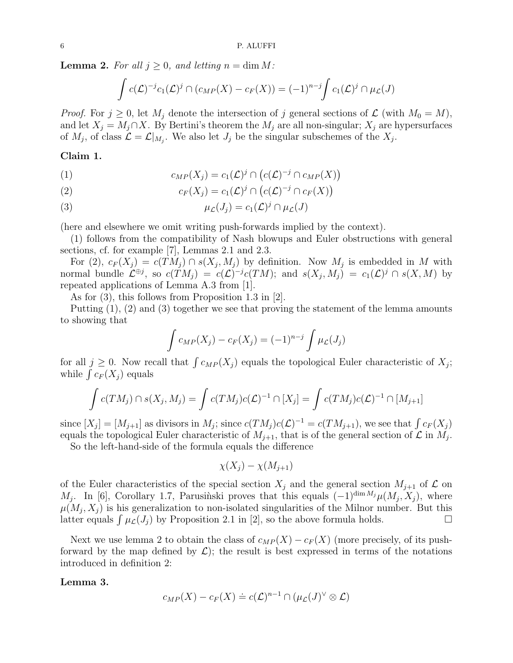**Lemma 2.** For all  $j \geq 0$ , and letting  $n = \dim M$ :

$$
\int c(\mathcal{L})^{-j} c_1(\mathcal{L})^j \cap (c_{MP}(X) - c_F(X)) = (-1)^{n-j} \int c_1(\mathcal{L})^j \cap \mu_{\mathcal{L}}(J)
$$

*Proof.* For  $j \geq 0$ , let  $M_j$  denote the intersection of j general sections of  $\mathcal{L}$  (with  $M_0 = M$ ), and let  $X_j = M_j \cap X$ . By Bertini's theorem the  $M_j$  are all non-singular;  $X_j$  are hypersurfaces of  $M_j$ , of class  $\mathcal{L} = \mathcal{L}|_{M_j}$ . We also let  $J_j$  be the singular subschemes of the  $X_j$ .

# Claim 1.

(1) 
$$
c_{MP}(X_j) = c_1(\mathcal{L})^j \cap (c(\mathcal{L})^{-j} \cap c_{MP}(X))
$$

(2) 
$$
c_F(X_j) = c_1(\mathcal{L})^j \cap (c(\mathcal{L})^{-j} \cap c_F(X))
$$

(3) 
$$
\mu_{\mathcal{L}}(J_j) = c_1(\mathcal{L})^j \cap \mu_{\mathcal{L}}(J)
$$

(here and elsewhere we omit writing push-forwards implied by the context).

(1) follows from the compatibility of Nash blowups and Euler obstructions with general sections, cf. for example [7], Lemmas 2.1 and 2.3.

For  $(2)$ ,  $c_F(X_j) = c(TM_j) \cap s(X_j, M_j)$  by definition. Now  $M_j$  is embedded in M with normal bundle  $\mathcal{L}^{\oplus j}$ , so  $c(TM_j) = c(\mathcal{L})^{-j}c(TM)$ ; and  $s(X_j, M_j) = c_1(\mathcal{L})^j \cap s(X, M)$  by repeated applications of Lemma A.3 from [1].

As for (3), this follows from Proposition 1.3 in [2].

Putting (1), (2) and (3) together we see that proving the statement of the lemma amounts to showing that

$$
\int c_{MP}(X_j) - c_F(X_j) = (-1)^{n-j} \int \mu_{\mathcal{L}}(J_j)
$$

for all  $j \geq 0$ . Now recall that  $\int c_{MP}(X_j)$  equals the topological Euler characteristic of  $X_j$ ; while  $\int c_F(X_j)$  equals

$$
\int c(TM_j) \cap s(X_j, M_j) = \int c(TM_j)c(\mathcal{L})^{-1} \cap [X_j] = \int c(TM_j)c(\mathcal{L})^{-1} \cap [M_{j+1}]
$$

since  $[X_j] = [M_{j+1}]$  as divisors in  $M_j$ ; since  $c(TM_j)c(\mathcal{L})^{-1} = c(TM_{j+1})$ , we see that  $\int c_F(X_j)$ equals the topological Euler characteristic of  $M_{j+1}$ , that is of the general section of  $\mathcal L$  in  $M_j$ .

So the left-hand-side of the formula equals the difference

$$
\chi(X_j) - \chi(M_{j+1})
$$

of the Euler characteristics of the special section  $X_j$  and the general section  $M_{j+1}$  of  $\mathcal L$  on  $M_j$ . In [6], Corollary 1.7, Parusinski proves that this equals  $(-1)^{\dim M_j} \mu(M_j, X_j)$ , where  $\mu(M_j, X_j)$  is his generalization to non-isolated singularities of the Milnor number. But this latter equals  $\int \mu_{\mathcal{L}}(J_j)$  by Proposition 2.1 in [2], so the above formula holds.

Next we use lemma 2 to obtain the class of  $c_{MP}(X) - c_F(X)$  (more precisely, of its pushforward by the map defined by  $\mathcal{L}$ ); the result is best expressed in terms of the notations introduced in definition 2:

## Lemma 3.

$$
c_{MP}(X) - c_F(X) \doteq c(\mathcal{L})^{n-1} \cap (\mu_{\mathcal{L}}(J)^{\vee} \otimes \mathcal{L})
$$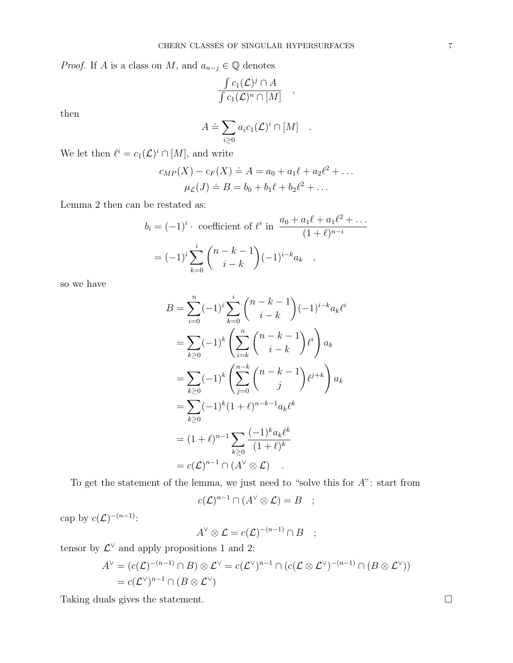*Proof.* If A is a class on M, and  $a_{n-j} \in \mathbb{Q}$  denotes

$$
\frac{\int c_1(\mathcal{L})^j \cap A}{\int c_1(\mathcal{L})^n \cap [M]},
$$

then

$$
A \doteq \sum_{i \geq 0} a_i c_1(\mathcal{L})^i \cap [M] .
$$

We let then  $\ell^i = c_1(\mathcal{L})^i \cap [M]$ , and write

$$
c_{MP}(X) - c_F(X) \doteq A = a_0 + a_1\ell + a_2\ell^2 + \dots
$$

$$
\mu_{\mathcal{L}}(J) \doteq B = b_0 + b_1\ell + b_2\ell^2 + \dots
$$

Lemma 2 then can be restated as:

$$
b_i = (-1)^i \cdot \text{ coefficient of } \ell^i \text{ in } \frac{a_0 + a_1 \ell + a_1 \ell^2 + \dots}{(1 + \ell)^{n-i}}
$$

$$
= (-1)^i \sum_{k=0}^i {n-k-1 \choose i-k} (-1)^{i-k} a_k ,
$$

so we have

$$
B = \sum_{i=0}^{n} (-1)^{i} \sum_{k=0}^{i} {n-k-1 \choose i-k} (-1)^{i-k} a_{k} \ell^{i}
$$
  
= 
$$
\sum_{k\geq 0} (-1)^{k} \left( \sum_{i=k}^{n} {n-k-1 \choose i-k} \ell^{i} \right) a_{k}
$$
  
= 
$$
\sum_{k\geq 0} (-1)^{k} \left( \sum_{j=0}^{n-k} {n-k-1 \choose j} \ell^{j+k} \right) a_{k}
$$
  
= 
$$
\sum_{k\geq 0} (-1)^{k} (1+\ell)^{n-k-1} a_{k} \ell^{k}
$$
  
= 
$$
(1+\ell)^{n-1} \sum_{k\geq 0} \frac{(-1)^{k} a_{k} \ell^{k}}{(1+\ell)^{k}}
$$
  
= 
$$
c(\mathcal{L})^{n-1} \cap (A^{\vee} \otimes \mathcal{L}) .
$$

To get the statement of the lemma, we just need to "solve this for A": start from

$$
c(\mathcal{L})^{n-1} \cap (A^{\vee} \otimes \mathcal{L}) = B \quad ;
$$

cap by  $c(\mathcal{L})^{-(n-1)}$ :

$$
A^{\vee} \otimes \mathcal{L} = c(\mathcal{L})^{-(n-1)} \cap B \quad ;
$$

tensor by  $\mathcal{L}^{\vee}$  and apply propositions 1 and 2:

$$
A^{\vee} = (c(\mathcal{L})^{-(n-1)} \cap B) \otimes \mathcal{L}^{\vee} = c(\mathcal{L}^{\vee})^{n-1} \cap (c(\mathcal{L} \otimes \mathcal{L}^{\vee})^{-(n-1)} \cap (B \otimes \mathcal{L}^{\vee}))
$$
  
=  $c(\mathcal{L}^{\vee})^{n-1} \cap (B \otimes \mathcal{L}^{\vee})$ 

Taking duals gives the statement.  $\Box$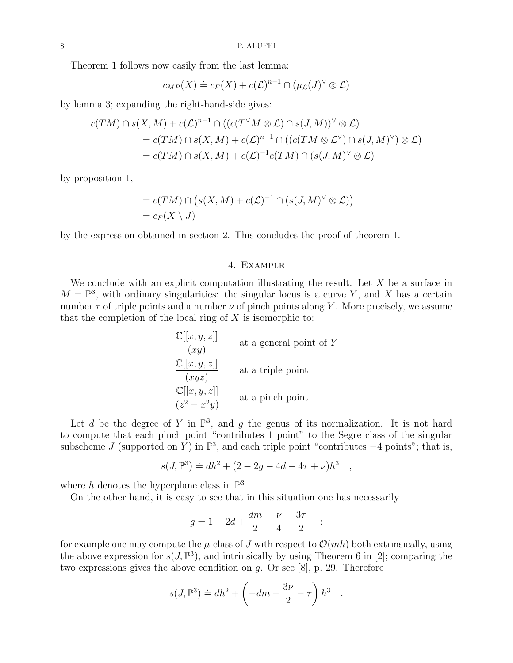Theorem 1 follows now easily from the last lemma:

$$
c_{MP}(X) \doteq c_F(X) + c(\mathcal{L})^{n-1} \cap (\mu_{\mathcal{L}}(J)^{\vee} \otimes \mathcal{L})
$$

by lemma 3; expanding the right-hand-side gives:

$$
c(TM) \cap s(X, M) + c(\mathcal{L})^{n-1} \cap ((c(T^{\vee}M \otimes \mathcal{L}) \cap s(J, M))^{\vee} \otimes \mathcal{L})
$$
  
= 
$$
c(TM) \cap s(X, M) + c(\mathcal{L})^{n-1} \cap ((c(TM \otimes \mathcal{L}^{\vee}) \cap s(J, M)^{\vee}) \otimes \mathcal{L})
$$
  
= 
$$
c(TM) \cap s(X, M) + c(\mathcal{L})^{-1}c(TM) \cap (s(J, M)^{\vee} \otimes \mathcal{L})
$$

by proposition 1,

$$
= c(TM) \cap (s(X, M) + c(\mathcal{L})^{-1} \cap (s(J, M)^{\vee} \otimes \mathcal{L}))
$$
  
=  $c_F(X \setminus J)$ 

by the expression obtained in section 2. This concludes the proof of theorem 1.

### 4. Example

We conclude with an explicit computation illustrating the result. Let  $X$  be a surface in  $M = \mathbb{P}^3$ , with ordinary singularities: the singular locus is a curve Y, and X has a certain number  $\tau$  of triple points and a number  $\nu$  of pinch points along Y. More precisely, we assume that the completion of the local ring of  $X$  is isomorphic to:

| $\mathbb{C}[[x, y, z]]$ | at a general point of Y |
|-------------------------|-------------------------|
| $\mathbb{C}[[x, y, z]]$ | at a triple point       |
| $(xyz)$                 | at a triple point       |
| $\mathbb{C}[[x, y, z]]$ | at a pinch point        |

Let d be the degree of Y in  $\mathbb{P}^3$ , and g the genus of its normalization. It is not hard to compute that each pinch point "contributes 1 point" to the Segre class of the singular subscheme J (supported on Y) in  $\mathbb{P}^3$ , and each triple point "contributes  $-4$  points"; that is,

$$
s(J, \mathbb{P}^3) \doteq dh^2 + (2 - 2g - 4d - 4\tau + \nu)h^3
$$

,

where h denotes the hyperplane class in  $\mathbb{P}^3$ .

On the other hand, it is easy to see that in this situation one has necessarily

$$
g = 1 - 2d + \frac{dm}{2} - \frac{\nu}{4} - \frac{3\tau}{2} \quad :
$$

for example one may compute the  $\mu$ -class of J with respect to  $\mathcal{O}(mh)$  both extrinsically, using the above expression for  $s(J, \mathbb{P}^3)$ , and intrinsically by using Theorem 6 in [2]; comparing the two expressions gives the above condition on  $q$ . Or see [8], p. 29. Therefore

$$
s(J,\mathbb{P}^3) \doteq dh^2 + \left(-dm + \frac{3\nu}{2} - \tau\right)h^3.
$$